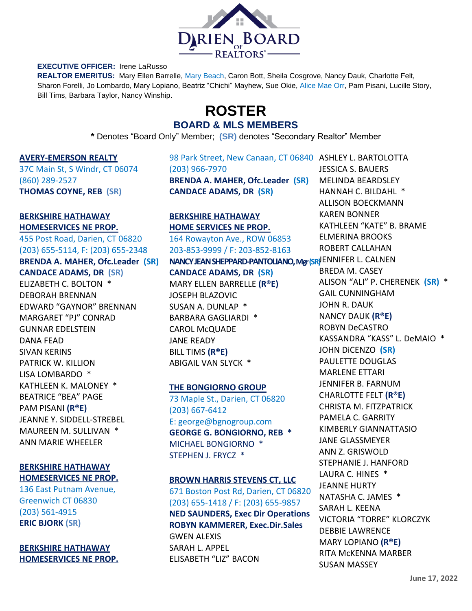

#### **EXECUTIVE OFFICER:** Irene LaRusso

**REALTOR EMERITUS:** Mary Ellen Barrelle, Mary Beach, Caron Bott, Sheila Cosgrove, Nancy Dauk, Charlotte Felt, Sharon Forelli, Jo Lombardo, Mary Lopiano, Beatriz "Chichi" Mayhew, Sue Okie, Alice Mae Orr, Pam Pisani, Lucille Story, Bill Tims, Barbara Taylor, Nancy Winship.

# **ROSTER BOARD & MLS MEMBERS**

**\*** Denotes "Board Only" Member; **(SR)** denotes "Secondary Realtor" Member

#### **AVERY-EMERSON REALTY**

37C Main St, S Windr, CT 06074 (860) 289-2527 **THOMAS COYNE, REB (SR)**

#### **BERKSHIRE HATHAWAY HOMESERVICES NE PROP.**

455 Post Road, Darien, CT 06820 (203) 655-5114, F: (203) 655-2348

## **BRENDA A. MAHER, Ofc.Leader (SR) CANDACE ADAMS, DR (SR)** ELIZABETH C. BOLTON \*

DEBORAH BRENNAN EDWARD "GAYNOR" BRENNAN MARGARET "PJ" CONRAD GUNNAR EDELSTEIN DANA FEAD SIVAN KERINS PATRICK W. KILLION LISA LOMBARDO \* KATHLEEN K. MALONEY \* BEATRICE "BEA" PAGE PAM PISANI **(R®E)** JEANNE Y. SIDDELL-STREBEL MAUREEN M. SULLIVAN \* ANN MARIE WHEELER

## **BERKSHIRE HATHAWAY HOMESERVICES NE PROP.**

136 East Putnam Avenue, Greenwich CT 06830 (203) 561-4915 **ERIC BJORK (SR)**

## **BERKSHIRE HATHAWAY HOMESERVICES NE PROP.**

98 Park Street, New Canaan, CT 06840 ASHLEY L. BARTOLOTTA (203) 966-7970 **BRENDA A. MAHER, Ofc.Leader (SR) CANDACE ADAMS, DR (SR)**

## **BERKSHIRE HATHAWAY HOME SERVICES NE PROP.**

164 Rowayton Ave., ROW 06853 203-853-9999 / F: 203-852-8163

# **NANCY JEAN SHEPPARD-PANTOLIANO,Mgr (SR)** JENNIFER L. CALNEN **CANDACE ADAMS, DR (SR)** MARY ELLEN BARRELLE **(R®E)** JOSEPH BLAZOVIC SUSAN A. DUNLAP \* BARBARA GAGLIARDI \* CAROL McQUADE

JANE READY BILL TIMS **(R®E)** ABIGAIL VAN SLYCK \*

## **THE BONGIORNO GROUP**

73 Maple St., Darien, CT 06820 (203) 667-6412 E: george@bgnogroup.com **GEORGE G. BONGIORNO, REB \*** MICHAEL BONGIORNO \* STEPHEN J. FRYCZ \*

#### **BROWN HARRIS STEVENS CT, LLC**

671 Boston Post Rd, Darien, CT 06820 (203) 655-1418 / F: (203) 655-9857 **NED SAUNDERS, Exec Dir Operations ROBYN KAMMERER, Exec.Dir.Sales** GWEN ALEXIS SARAH L. APPEL ELISABETH "LIZ" BACON

JESSICA S. BAUERS MELINDA BEARDSLEY HANNAH C. BILDAHL \* ALLISON BOECKMANN KAREN BONNER KATHLEEN "KATE" B. BRAME ELMERINA BROOKS ROBERT CALLAHAN

BREDA M. CASEY ALISON "ALI" P. CHERENEK **(SR)** \* GAIL CUNNINGHAM JOHN R. DAUK NANCY DAUK **(R®E)** ROBYN DeCASTRO KASSANDRA "KASS" L. DeMAIO \* JOHN DiCENZO **(SR)** PAULETTE DOUGLAS MARLENE ETTARI JENNIFER B. FARNUM CHARLOTTE FELT **(R®E)** CHRISTA M. FITZPATRICK PAMELA C. GARRITY KIMBERLY GIANNATTASIO JANE GLASSMEYER ANN Z. GRISWOLD STEPHANIE J. HANFORD LAURA C. HINES \* JEANNE HURTY NATASHA C. JAMES \* SARAH L. KEENA VICTORIA "TORRE" KLORCZYK DEBBIE LAWRENCE MARY LOPIANO **(R®E)** RITA McKENNA MARBER SUSAN MASSEY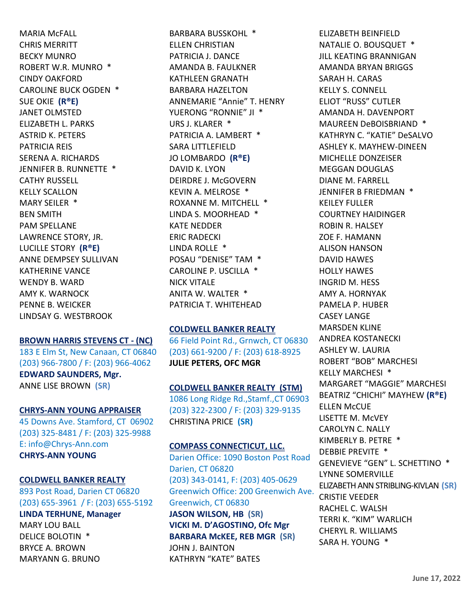MARIA McFALL CHRIS MERRITT BECKY MUNRO ROBERT W.R. MUNRO \* CINDY OAKFORD CAROLINE BUCK OGDEN \* SUE OKIE **(R®E)** JANET OLMSTED ELIZABETH L. PARKS ASTRID K. PETERS PATRICIA REIS SERENA A. RICHARDS JENNIFER B. RUNNETTE \* CATHY RUSSELL KELLY SCALLON MARY SEILER \* BEN SMITH PAM SPELLANE LAWRENCE STORY, JR. LUCILLE STORY **(R®E)** ANNE DEMPSEY SULLIVAN KATHERINE VANCE WENDY B. WARD AMY K. WARNOCK PENNE B. WEICKER LINDSAY G. WESTBROOK

#### **BROWN HARRIS STEVENS CT - (NC)**

183 E Elm St, New Canaan, CT 06840 (203) 966-7800 / F: (203) 966-4062 **EDWARD SAUNDERS, Mgr.** ANNE LISE BROWN **(SR)**

## **CHRYS-ANN YOUNG APPRAISER**

45 Downs Ave. Stamford, CT 06902 (203) 325-8481 / F: (203) 325-9988 E: info@Chrys-Ann.com **CHRYS-ANN YOUNG**

#### **COLDWELL BANKER REALTY**

893 Post Road, Darien CT 06820 (203) 655-3961 / F: (203) 655-5192 **LINDA TERHUNE, Manager** MARY LOU BALL DELICE BOLOTIN \* BRYCE A. BROWN

MARYANN G. BRUNO

BARBARA BUSSKOHL \* ELLEN CHRISTIAN PATRICIA J. DANCE AMANDA B. FAULKNER KATHLEEN GRANATH BARBARA HAZELTON ANNEMARIE "Annie" T. HENRY YUERONG "RONNIE" JI \* URS J. KLARER \* PATRICIA A. LAMBERT \* SARA LITTLEFIELD JO LOMBARDO **(R®E)** DAVID K. LYON DEIRDRE J. McGOVERN KEVIN A. MELROSE \* ROXANNE M. MITCHELL \* LINDA S. MOORHEAD \* KATE NEDDER ERIC RADECKI LINDA ROLLE \* POSAU "DENISE" TAM \* CAROLINE P. USCILLA \* NICK VITALE ANITA W. WALTER \* PATRICIA T. WHITEHEAD

## **COLDWELL BANKER REALTY**

66 Field Point Rd., Grnwch, CT 06830 (203) 661-9200 / F: (203) 618-8925 **JULIE PETERS, OFC MGR**

## **COLDWELL BANKER REALTY (STM)**

1086 Long Ridge Rd.,Stamf.,CT 06903 (203) 322-2300 / F: (203) 329-9135 CHRISTINA PRICE **(SR)**

## **COMPASS CONNECTICUT, LLC.**

Darien Office: 1090 Boston Post Road Darien, CT 06820 (203) 343-0141, F: (203) 405-0629 Greenwich Office: 200 Greenwich Ave. Greenwich, CT 06830 **JASON WILSON, HB (SR) VICKI M. D'AGOSTINO, Ofc Mgr BARBARA McKEE, REB MGR (SR)** JOHN J. BAINTON KATHRYN "KATE" BATES

ELIZABETH BEINFIELD NATALIE O. BOUSQUET \* JILL KEATING BRANNIGAN AMANDA BRYAN BRIGGS SARAH H. CARAS KELLY S. CONNELL ELIOT "RUSS" CUTLER AMANDA H. DAVENPORT MAUREEN DeBOISBRIAND \* KATHRYN C. "KATIE" DeSALVO ASHLEY K. MAYHEW-DINEEN MICHELLE DONZEISER MEGGAN DOUGLAS DIANE M. FARRELL JENNIFER B FRIEDMAN \* KEILEY FULLER COURTNEY HAIDINGER ROBIN R. HALSEY ZOE F. HAMANN ALISON HANSON DAVID HAWES HOLLY HAWES INGRID M. HESS AMY A. HORNYAK PAMELA P. HUBER CASEY LANGE MARSDEN KLINE ANDREA KOSTANECKI ASHLEY W. LAURIA ROBERT "BOB" MARCHESI KELLY MARCHESI \* MARGARET "MAGGIE" MARCHESI BEATRIZ "CHICHI" MAYHEW **(R®E) ELLEN McCUE** LISETTE M. McVEY CAROLYN C. NALLY KIMBERLY B. PETRE \* DEBBIE PREVITE \* GENEVIEVE "GEN" L. SCHETTINO \* LYNNE SOMERVILLE ELIZABETH ANN STRIBLING-KIVLAN **(SR)** CRISTIE VEEDER RACHEL C. WALSH TERRI K. "KIM" WARLICH CHERYL R. WILLIAMS SARA H. YOUNG \*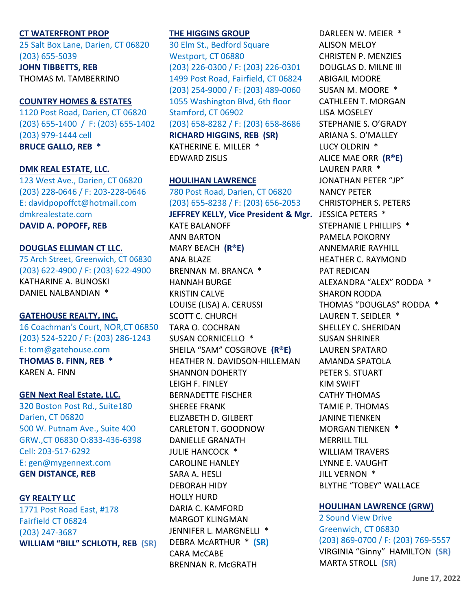## **CT WATERFRONT PROP**

25 Salt Box Lane, Darien, CT 06820 (203) 655-5039

**JOHN TIBBETTS, REB** THOMAS M. TAMBERRINO

## **COUNTRY HOMES & ESTATES**

1120 Post Road, Darien, CT 06820 (203) 655-1400 / F: (203) 655-1402 (203) 979-1444 cell **BRUCE GALLO, REB \***

#### **DMK REAL ESTATE, LLC.**

123 West Ave., Darien, CT 06820 (203) 228-0646 / F: 203-228-0646 E: davidpopoffct@hotmail.com [dmkrealestate.com](http://dmkrealestate.com/) **DAVID A. POPOFF, REB**

## **DOUGLAS ELLIMAN CT LLC.**

75 Arch Street, Greenwich, CT 06830 (203) 622-4900 / F: (203) 622-4900 KATHARINE A. BUNOSKI DANIEL NALBANDIAN \*

#### **GATEHOUSE REALTY, INC.**

16 Coachman's Court, NOR,CT 06850 (203) 524-5220 / F: (203) 286-1243 E: tom@gatehouse.com **THOMAS B. FINN, REB \*** KAREN A. FINN

## **GEN Next Real Estate, LLC.**

320 Boston Post Rd., Suite180 Darien, CT 06820 500 W. Putnam Ave., Suite 400 GRW.,CT 06830 O:833-436-6398 Cell: 203-517-6292 E: gen@mygennext.com **GEN DISTANCE, REB**

## **GY REALTY LLC**

1771 Post Road East, #178 Fairfield CT 06824 (203) 247-3687 **WILLIAM "BILL" SCHLOTH, REB (SR)**

## **THE HIGGINS GROUP**

30 Elm St., Bedford Square Westport, CT 06880 (203) 226-0300 / F: (203) 226-0301 1499 Post Road, Fairfield, CT 06824 (203) 254-9000 / F: (203) 489-0060 1055 Washington Blvd, 6th floor Stamford, CT 06902 (203) 658-8282 / F: (203) 658-8686 **RICHARD HIGGINS, REB (SR)** KATHERINE E. MILLER \* EDWARD ZISLIS

## **HOULIHAN LAWRENCE**

780 Post Road, Darien, CT 06820 (203) 655-8238 / F: (203) 656-2053 **JEFFREY KELLY, Vice President & Mgr.** JESSICA PETERS \* KATE BALANOFF ANN BARTON MARY BEACH **(R®E)** ANA BLAZE BRENNAN M. BRANCA \* HANNAH BURGE KRISTIN CALVE LOUISE (LISA) A. CERUSSI SCOTT C. CHURCH TARA O. COCHRAN SUSAN CORNICELLO \* SHEILA "SAM" COSGROVE **(R®E)** HEATHER N. DAVIDSON-HILLEMAN SHANNON DOHERTY LEIGH F. FINLEY BERNADETTE FISCHER SHEREE FRANK ELIZABETH D. GILBERT CARLETON T. GOODNOW DANIELLE GRANATH JULIE HANCOCK \* CAROLINE HANLEY SARA A. HESLI DEBORAH HIDY HOLLY HURD DARIA C. KAMFORD MARGOT KLINGMAN JENNIFER L. MARGNELLI \* DEBRA McARTHUR \* **(SR)** CARA McCABE BRENNAN R. McGRATH

DARLEEN W. MEIER \* ALISON MELOY CHRISTEN P. MENZIES DOUGLAS D. MILNE III ABIGAIL MOORE SUSAN M. MOORE \* CATHLEEN T. MORGAN LISA MOSELEY STEPHANIE S. O'GRADY ARIANA S. O'MALLEY LUCY OLDRIN \* ALICE MAE ORR **(R®E)** LAUREN PARR \* JONATHAN PETER "JP" NANCY PETER CHRISTOPHER S. PETERS STEPHANIE L PHILLIPS \* PAMELA POKORNY ANNEMARIE RAYHILL HEATHER C. RAYMOND PAT REDICAN ALEXANDRA "ALEX" RODDA \* SHARON RODDA THOMAS "DOUGLAS" RODDA \* LAUREN T. SEIDLER \* SHELLEY C. SHERIDAN SUSAN SHRINER LAUREN SPATARO AMANDA SPATOLA PETER S. STUART KIM SWIFT CATHY THOMAS TAMIE P. THOMAS JANINE TIENKEN MORGAN TIENKEN \* MERRILL TILL WILLIAM TRAVERS LYNNE E. VAUGHT JILL VERNON \* BLYTHE "TOBEY" WALLACE

#### **HOULIHAN LAWRENCE (GRW)**

2 Sound View Drive Greenwich, CT 06830 (203) 869-0700 / F: (203) 769-5557 VIRGINIA "Ginny" HAMILTON **(SR)** MARTA STROLL **(SR)**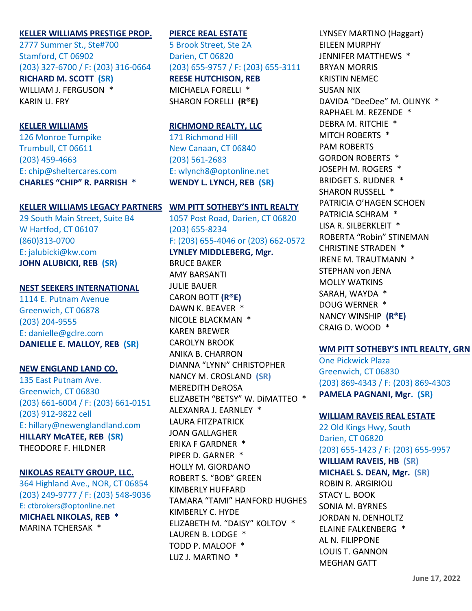## **KELLER WILLIAMS PRESTIGE PROP.**

2777 Summer St., Ste#700 Stamford, CT 06902 (203) 327-6700 / F: (203) 316-0664 **RICHARD M. SCOTT (SR)** WILLIAM J. FERGUSON \* KARIN U. FRY

#### **KELLER WILLIAMS**

126 Monroe Turnpike Trumbull, CT 06611 (203) 459-4663 E: [chip@sheltercares.com](mailto:chip@sheltercares.com) **CHARLES "CHIP" R. PARRISH \***

#### **KELLER WILLIAMS LEGACY PARTNERS WM PITT SOTHEBY'S INTL REALTY**

29 South Main Street, Suite B4 W Hartfod, CT 06107 (860)313-0700 E: jalubicki@kw.com **JOHN ALUBICKI, REB (SR)**

#### **NEST SEEKERS INTERNATIONAL**

1114 E. Putnam Avenue Greenwich, CT 06878 (203) 204-9555 E: danielle@gclre.com **DANIELLE E. MALLOY, REB (SR)**

## **NEW ENGLAND LAND CO.**

135 East Putnam Ave. Greenwich, CT 06830 (203) 661-6004 / F: (203) 661-0151 (203) 912-9822 cell E: hillary@newenglandland.com **HILLARY McATEE, REB (SR)** THEODORE F. HILDNER

#### **NIKOLAS REALTY GROUP, LLC.**

364 Highland Ave., NOR, CT 06854 (203) 249-9777 / F: (203) 548-9036 E: ctbrokers@optonline.net **MICHAEL NIKOLAS, REB \*** MARINA TCHERSAK \*

### **PIERCE REAL ESTATE**

5 Brook Street, Ste 2A Darien, CT 06820 (203) 655-9757 / F: (203) 655-3111 **REESE HUTCHISON, REB** MICHAELA FORELLI \* SHARON FORELLI **(R®E)**

#### **RICHMOND REALTY, LLC**

171 Richmond Hill New Canaan, CT 06840 (203) 561-2683 E: wlynch8@optonline.net **WENDY L. LYNCH, REB (SR)**

1057 Post Road, Darien, CT 06820 (203) 655-8234 F: (203) 655-4046 or (203) 662-0572 **LYNLEY MIDDLEBERG, Mgr.** BRUCE BAKER AMY BARSANTI JULIE BAUER CARON BOTT **(R®E)** DAWN K. BEAVER \* NICOLE BLACKMAN \* KAREN BREWER CAROLYN BROOK ANIKA B. CHARRON DIANNA "LYNN" CHRISTOPHER NANCY M. CROSLAND **(SR)** MEREDITH DeROSA ELIZABETH "BETSY" W. DiMATTEO \* ALEXANRA J. EARNLEY \* LAURA FITZPATRICK JOAN GALLAGHER ERIKA F GARDNER \* PIPER D. GARNER \* HOLLY M. GIORDANO ROBERT S. "BOB" GREEN KIMBERLY HUFFARD TAMARA "TAMI" HANFORD HUGHES KIMBERLY C. HYDE ELIZABETH M. "DAISY" KOLTOV \* LAUREN B. LODGE \* TODD P. MALOOF \* LUZ J. MARTINO \*

LYNSEY MARTINO (Haggart) EILEEN MURPHY JENNIFER MATTHEWS \* BRYAN MORRIS KRISTIN NEMEC SUSAN NIX DAVIDA "DeeDee" M. OLINYK \* RAPHAEL M. REZENDE \* DEBRA M. RITCHIE \* MITCH ROBERTS \* PAM ROBERTS GORDON ROBERTS \* JOSEPH M. ROGERS \* BRIDGET S. RUDNER \* SHARON RUSSELL \* PATRICIA O'HAGEN SCHOEN PATRICIA SCHRAM \* LISA R. SILBERKLEIT \* ROBERTA "Robin" STINEMAN CHRISTINE STRADEN \* IRENE M. TRAUTMANN \* STEPHAN von JENA MOLLY WATKINS SARAH, WAYDA \* DOUG WERNER \* NANCY WINSHIP **(R®E)** CRAIG D. WOOD \*

## **WM PITT SOTHEBY'S INTL REALTY, GRN**

One Pickwick Plaza Greenwich, CT 06830 (203) 869-4343 / F: (203) 869-4303 **PAMELA PAGNANI, Mgr. (SR)**

#### **WILLIAM RAVEIS REAL ESTATE**

22 Old Kings Hwy, South Darien, CT 06820 (203) 655-1423 / F: (203) 655-9957 **WILLIAM RAVEIS, HB (SR) MICHAEL S. DEAN, Mgr. (SR)** ROBIN R. ARGIRIOU STACY L. BOOK SONIA M. BYRNES JORDAN N. DENHOLTZ ELAINE FALKENBERG \* AL N. FILIPPONE LOUIS T. GANNON MEGHAN GATT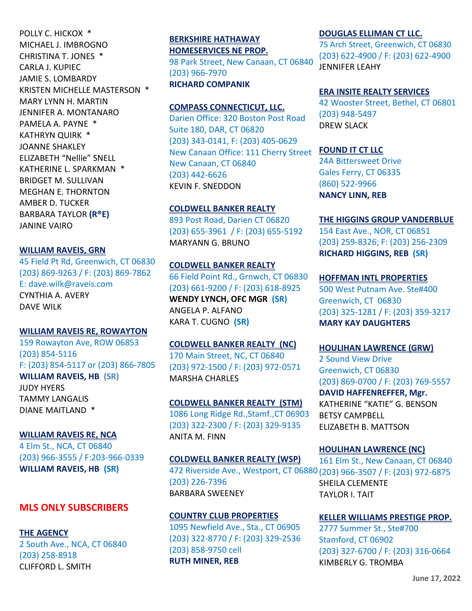POLLY C. HICKOX \* MICHAEL J. IMBROGNO CHRISTINA T. JONES \* CARLA J. KUPIEC JAMIE S. LOMBARDY KRISTEN MICHELLE MASTERSON \* MARY LYNN H. MARTIN JENNIFER A. MONTANARO PAMELA A. PAYNE \* KATHRYN QUIRK \* JOANNE SHAKLEY ELIZABETH "Nellie" SNELL KATHERINE L. SPARKMAN \* BRIDGET M. SULLIVAN MEGHAN E. THORNTON AMBER D. TUCKER BARBARA TAYLOR **(R®E)** JANINE VAIRO

**WILLIAM RAVEIS, GRN**

45 Field Pt Rd, Greenwich, CT 06830 (203) 869-9263 / F: (203) 869-7862 E: dave.wilk@raveis.com CYNTHIA A. AVERY DAVE WILK

**WILLIAM RAVEIS RE, ROWAYTON**

159 Rowayton Ave, ROW 06853 (203) 854-5116 F: (203) 854-5117 or (203) 866-7805 **WILLIAM RAVEIS, HB (SR)** JUDY HYERS TAMMY LANGALIS DIANE MAITLAND \*

**WILLIAM RAVEIS RE, NCA** 4 Elm St., NCA, CT 06840 (203) 966-3555 / F:203-966-0339 **WILLIAM RAVEIS, HB (SR)**

# **MLS ONLY SUBSCRIBERS**

**THE AGENCY** 2 South Ave., NCA, CT 06840 (203) 258-8918 CLIFFORD L. SMITH

**BERKSHIRE HATHAWAY HOMESERVICES NE PROP.** 98 Park Street, New Canaan, CT 06840 (203) 966-7970 **RICHARD COMPANIK**

#### **COMPASS CONNECTICUT, LLC.**

Darien Office: 320 Boston Post Road Suite 180, DAR, CT 06820 (203) 343-0141, F: (203) 405-0629 New Canaan Office: 111 Cherry Street New Canaan, CT 06840 (203) 442-6626 KEVIN F. SNEDDON

## **COLDWELL BANKER REALTY**

893 Post Road, Darien CT 06820 (203) 655-3961 / F: (203) 655-5192 MARYANN G. BRUNO

## **COLDWELL BANKER REALTY**

66 Field Point Rd., Grnwch, CT 06830 (203) 661-9200 / F: (203) 618-8925 **WENDY LYNCH, OFC MGR (SR)** ANGELA P. ALFANO KARA T. CUGNO **(SR)**

**COLDWELL BANKER REALTY (NC)**

170 Main Street, NC, CT 06840 (203) 972-1500 / F: (203) 972-0571 MARSHA CHARLES

**COLDWELL BANKER REALTY (STM)**

1086 Long Ridge Rd.,Stamf.,CT 06903 (203) 322-2300 / F: (203) 329-9135 ANITA M. FINN

**COLDWELL BANKER REALTY (WSP)** (203) 226-7396

BARBARA SWEENEY

#### **COUNTRY CLUB PROPERTIES**

1095 Newfield Ave., Sta., CT 06905 (203) 322-8770 / F: (203) 329-2536 (203) 858-9750 cell **RUTH MINER, REB**

#### **DOUGLAS ELLIMAN CT LLC.**

75 Arch Street, Greenwich, CT 06830 (203) 622-4900 / F: (203) 622-4900 JENNIFER LEAHY

#### **ERA INSITE REALTY SERVICES**

42 Wooster Street, Bethel, CT 06801 (203) 948-5497 DREW SLACK

## **FOUND IT CT LLC**

24A Bittersweet Drive Gales Ferry, CT 06335 (860) 522-9966 **NANCY LINN, REB**

#### **THE HIGGINS GROUP VANDERBLUE**

154 East Ave., NOR, CT 06851 (203) 259-8326; F: (203) 256-2309 **RICHARD HIGGINS, REB (SR)**

**HOFFMAN INTL PROPERTIES**

500 West Putnam Ave. Ste#400 Greenwich, CT 06830 (203) 325-1281 / F: (203) 359-3217 **MARY KAY DAUGHTERS** 

#### **HOULIHAN LAWRENCE (GRW)**

2 Sound View Drive Greenwich, CT 06830 (203) 869-0700 / F: (203) 769-5557 **DAVID HAFFENREFFER, Mgr.** KATHERINE "KATIE" G. BENSON BETSY CAMPBELL ELIZABETH B. MATTSON

472 Riverside Ave., Westport, CT 06880 (203) 966-3507 / F: (203) 972-6875 **HOULIHAN LAWRENCE (NC)** 161 Elm St., New Canaan, CT 06840 SHEILA CLEMENTE TAYLOR I. TAIT

#### **KELLER WILLIAMS PRESTIGE PROP.**

2777 Summer St., Ste#700 Stamford, CT 06902 (203) 327-6700 / F: (203) 316-0664 KIMBERLY G. TROMBA